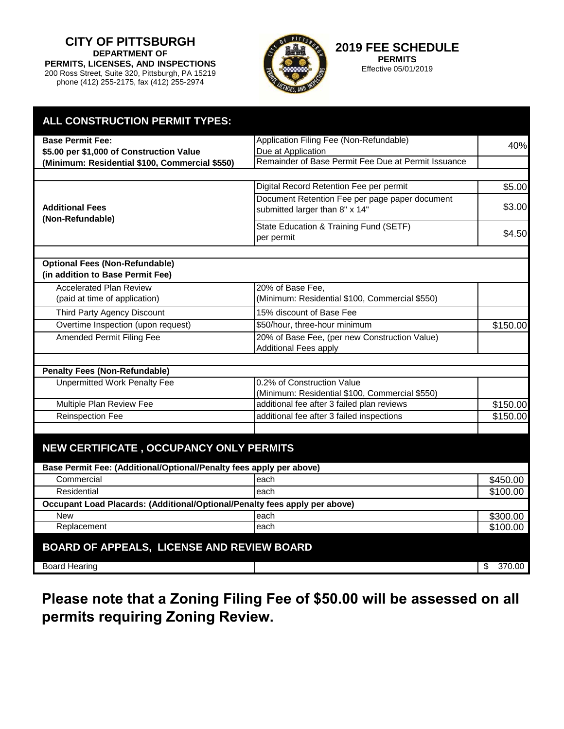**CITY OF PITTSBURGH DEPARTMENT OF PERMITS, LICENSES, AND INSPECTIONS** 200 Ross Street, Suite 320, Pittsburgh, PA 15219 phone (412) 255-2175, fax (412) 255-2974



**2019 FEE SCHEDULE PERMITS**

Effective 05/01/2019

| <b>ALL CONSTRUCTION PERMIT TYPES:</b>                                      |                                                                                  |              |  |
|----------------------------------------------------------------------------|----------------------------------------------------------------------------------|--------------|--|
| <b>Base Permit Fee:</b>                                                    | Application Filing Fee (Non-Refundable)                                          |              |  |
| \$5.00 per \$1,000 of Construction Value                                   | Due at Application                                                               | 40%          |  |
| (Minimum: Residential \$100, Commercial \$550)                             | Remainder of Base Permit Fee Due at Permit Issuance                              |              |  |
|                                                                            |                                                                                  |              |  |
| <b>Additional Fees</b><br>(Non-Refundable)                                 | Digital Record Retention Fee per permit                                          | \$5.00       |  |
|                                                                            | Document Retention Fee per page paper document<br>submitted larger than 8" x 14" | \$3.00       |  |
|                                                                            | State Education & Training Fund (SETF)<br>per permit                             | \$4.50       |  |
| <b>Optional Fees (Non-Refundable)</b><br>(in addition to Base Permit Fee)  |                                                                                  |              |  |
| <b>Accelerated Plan Review</b>                                             | 20% of Base Fee,                                                                 |              |  |
| (paid at time of application)                                              | (Minimum: Residential \$100, Commercial \$550)                                   |              |  |
| Third Party Agency Discount                                                | 15% discount of Base Fee                                                         |              |  |
| Overtime Inspection (upon request)                                         | \$50/hour, three-hour minimum                                                    | \$150.00     |  |
| Amended Permit Filing Fee                                                  | 20% of Base Fee, (per new Construction Value)<br><b>Additional Fees apply</b>    |              |  |
| <b>Penalty Fees (Non-Refundable)</b>                                       |                                                                                  |              |  |
| <b>Unpermitted Work Penalty Fee</b>                                        | 0.2% of Construction Value<br>(Minimum: Residential \$100, Commercial \$550)     |              |  |
| Multiple Plan Review Fee                                                   | additional fee after 3 failed plan reviews                                       | \$150.00     |  |
| <b>Reinspection Fee</b>                                                    | additional fee after 3 failed inspections                                        | \$150.00     |  |
|                                                                            |                                                                                  |              |  |
| NEW CERTIFICATE, OCCUPANCY ONLY PERMITS                                    |                                                                                  |              |  |
| Base Permit Fee: (Additional/Optional/Penalty fees apply per above)        |                                                                                  |              |  |
| Commercial                                                                 | each                                                                             | \$450.00     |  |
| <b>Residential</b>                                                         | each                                                                             | \$100.00     |  |
| Occupant Load Placards: (Additional/Optional/Penalty fees apply per above) |                                                                                  |              |  |
| <b>New</b>                                                                 | each                                                                             | \$300.00     |  |
| Replacement                                                                | each                                                                             | \$100.00     |  |
| BOARD OF APPEALS, LICENSE AND REVIEW BOARD                                 |                                                                                  |              |  |
| <b>Board Hearing</b>                                                       |                                                                                  | 370.00<br>\$ |  |

**Please note that a Zoning Filing Fee of \$50.00 will be assessed on all permits requiring Zoning Review.**